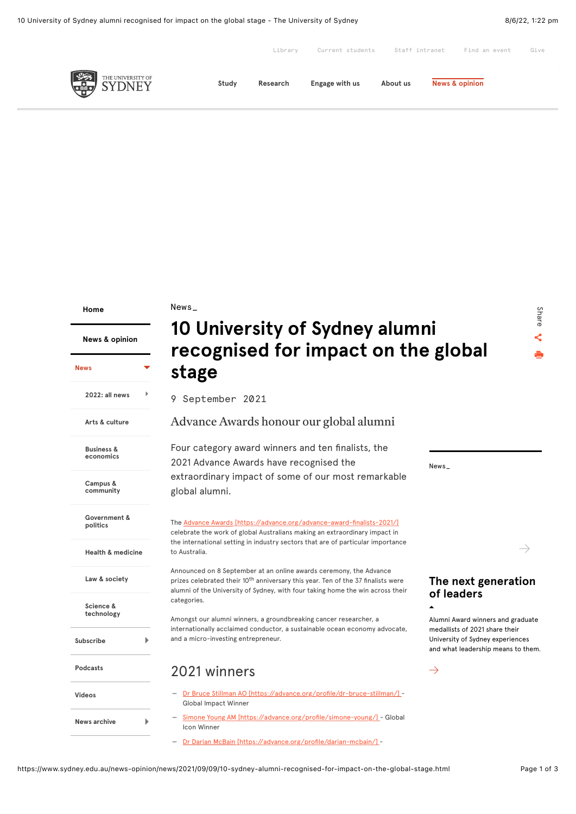|               |       | Library  | Current students | Staff intranet | Find an event             | Give |
|---------------|-------|----------|------------------|----------------|---------------------------|------|
| <b>SYDNEY</b> | Study | Research | Engage with us   | About us       | <b>News &amp; opinion</b> |      |

**[Home](https://www.sydney.edu.au/home.html)**

**[News](https://www.sydney.edu.au/news-opinion/news.html)**

**[News & opinion](https://www.sydney.edu.au/news-opinion/news.html)**

### News\_

 $\overline{\phantom{a}}$ 

# **10 University of Sydney alumni stage**

Share  $\prec$ 6

**[2022: all news](https://www.sydney.edu.au/news-opinion/news/2022.html) [Arts & culture](https://www.sydney.edu.au/news-opinion/news/arts-and-culture.html) Business & [economics](https://www.sydney.edu.au/news-opinion/news/business-and-economics.html) Campus & [community](https://www.sydney.edu.au/news-opinion/news/campus-and-community.html)** Þ

**[Government &](https://www.sydney.edu.au/news-opinion/news/government-and-politics.html) politics**

**[Health & medicine](https://www.sydney.edu.au/news-opinion/news/health-and-medicine.html)**

**[Law & society](https://www.sydney.edu.au/news-opinion/news/law-and-society.html)**

**Science & [technology](https://www.sydney.edu.au/news-opinion/news/science-and-technology.html)**

**[Subscribe](https://www.sydney.edu.au/news-opinion/subscribe.html) [Podcasts](https://www.sydney.edu.au/news-opinion/podcasts.html)**

Þ.

b

**[Videos](https://www.sydney.edu.au/news-opinion/videos.html)**

**[News archive](https://www.sydney.edu.au/news-opinion/news-archive.html)**

**recognised for impact on the global**

9 September 2021

### Advance Awards honour our global alumni

Four category award winners and ten finalists, the 2021 Advance Awards have recognised the extraordinary impact of some of our most remarkable global alumni.

The [Advance Awards \[https://advance.org/advance-award-finalists-2021/\]](https://advance.org/advance-award-finalists-2021/) celebrate the work of global Australians making an extraordinary impact in the international setting in industry sectors that are of particular importance to Australia.

Announced on 8 September at an online awards ceremony, the Advance prizes celebrated their 10<sup>th</sup> anniversary this year. Ten of the 37 finalists were alumni of the University of Sydney, with four taking home the win across their categories.

Amongst our alumni winners, a groundbreaking cancer researcher, a internationally acclaimed conductor, a sustainable ocean economy advocate, and a micro-investing entrepreneur.

### 2021 winners

- [Dr Bruce Stillman AO \[https://advance.org/profile/dr-bruce-stillman/\]](https://advance.org/profile/dr-bruce-stillman/) - Global Impact Winner
- [Simone Young AM \[https://advance.org/profile/simone-young/\] -](https://advance.org/profile/simone-young/) Global Icon Winner

— [Dr Darian McBain \[https://advance.org/profile/darian-mcbain/\] -](https://advance.org/profile/darian-mcbain/)

News\_

 $\rightarrow$ 

### **[The next generation](https://www.sydney.edu.au/news-opinion/news/2021/05/04/the-next-generation-of-leaders.html) of leaders**

Alumni Award winners and graduate medallists of 2021 share their University of Sydney experiences and what leadership means to them.

 $\rightarrow$ 

▲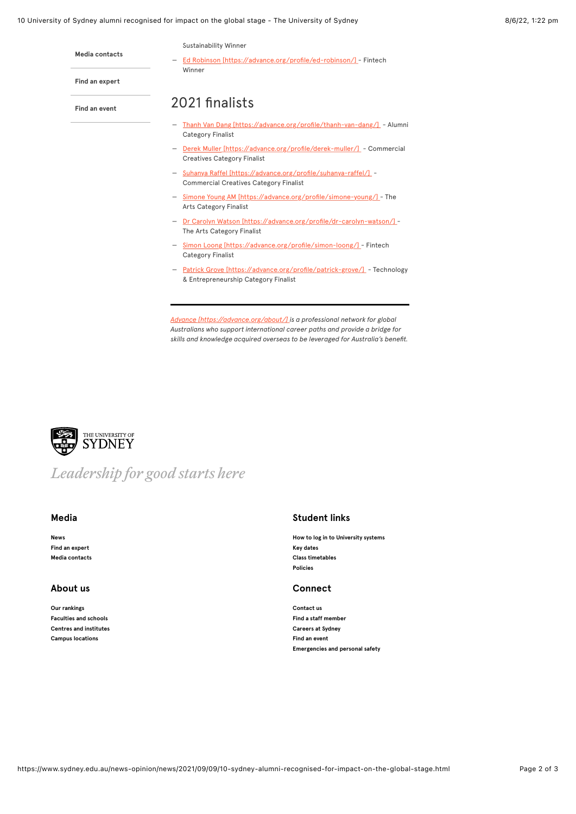### 10 University of Sydney alumni recognised for impact on the global stage - The University of Sydney 8/6/22, 1:22 pm

Sustainability Winner

— [Ed Robinson \[https://advance.org/profile/ed-robinson/\]](https://advance.org/profile/ed-robinson/) - Fintech Winner

**[Find an expert](https://www.sydney.edu.au/news-opinion/find-an-expert.html)**

**[Media contacts](https://www.sydney.edu.au/news-opinion/media-contacts.html)**

**[Find an event](https://www.sydney.edu.au/news-opinion/events.html)**

## 2021 finalists

- [Thanh Van Dang \[https://advance.org/profile/thanh-van-dang/\]](https://advance.org/profile/thanh-van-dang/)  Alumni Category Finalist
- <u>Derek Muller</u> [https://advance.org/profile/derek-muller/] Commercial Creatives Category Finalist
- $\overline{a}$ [Suhanya Raffel \[https://advance.org/profile/suhanya-raffel/\]](https://advance.org/profile/suhanya-raffel/) -Commercial Creatives Category Finalist
- [Simone Young AM \[https://advance.org/profile/simone-young/\] -](https://advance.org/profile/simone-young/) The Arts Category Finalist
- [Dr Carolyn Watson \[https://advance.org/profile/dr-carolyn-watson/\] -](https://advance.org/profile/dr-carolyn-watson/) The Arts Category Finalist
- [Simon Loong \[https://advance.org/profile/simon-loong/\]](https://advance.org/profile/simon-loong/)  Fintech Category Finalist
- [Patrick Grove \[https://advance.org/profile/patrick-grove/\]](https://advance.org/profile/patrick-grove/)  Technology & Entrepreneurship Category Finalist

*[Advance \[https://advance.org/about/\]](https://advance.org/about/) is a professional network for global Australians who support international career paths and provide a bridge for skills and knowledge acquired overseas to be leveraged for Australia's benefit.*



# *Leadership for good starts here*

**[News](https://www.sydney.edu.au/news-opinion/news.html) [Find an expert](https://www.sydney.edu.au/news-opinion/find-an-expert.html) [Media contacts](https://www.sydney.edu.au/news-opinion/media-contacts.html)**

### **About us Connect**

**[Our rankings](https://www.sydney.edu.au/about-us/our-world-rankings.html) [Faculties and schools](https://www.sydney.edu.au/about-us/faculties-and-schools.html) [Centres and institutes](https://www.sydney.edu.au/research/centres.html) [Campus locations](https://www.sydney.edu.au/about-us/campuses/campus-locations.html)**

### **Media Student links**

**[How to log in to University systems](https://www.sydney.edu.au/students/log-in-to-university-systems.html) [Key dates](https://www.sydney.edu.au/students/key-dates.html) [Class timetables](https://www.sydney.edu.au/students/timetables.html) [Policies](https://www.sydney.edu.au/policies/)**

**[Contact us](https://www.sydney.edu.au/contact-us.html) [Find a staff member](https://www.sydney.edu.au/about-us/governance-and-structure/staff-directory.html) [Careers at Sydney](https://www.sydney.edu.au/about-us/careers-at-sydney.html) [Find an event](https://www.sydney.edu.au/news-opinion/events.html) [Emergencies and personal safety](https://www.sydney.edu.au/about-us/campuses/emergencies-and-personal-safety.html)**